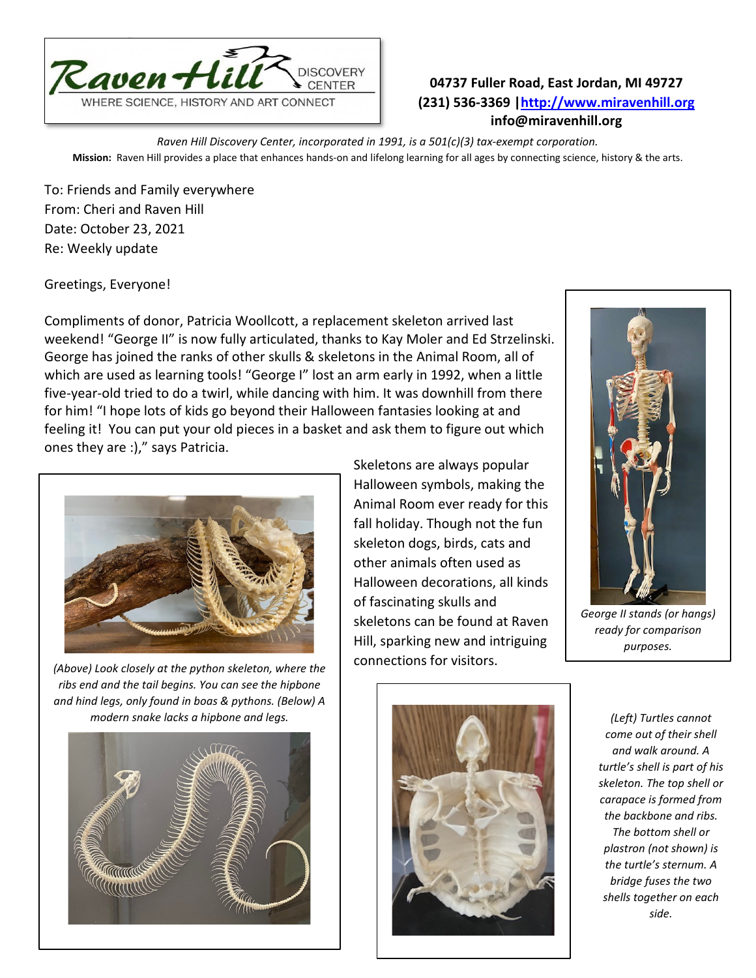

## **04737 Fuller Road, East Jordan, MI 49727 (231) 536-3369 [|http://www.miravenhill.org](http://www.miravenhill.org/) info@miravenhill.org**

*Raven Hill Discovery Center, incorporated in 1991, is a 501(c)(3) tax-exempt corporation.* **Mission:** Raven Hill provides a place that enhances hands-on and lifelong learning for all ages by connecting science, history & the arts.

To: Friends and Family everywhere From: Cheri and Raven Hill Date: October 23, 2021 Re: Weekly update

Greetings, Everyone!

Compliments of donor, Patricia Woollcott, a replacement skeleton arrived last weekend! "George II" is now fully articulated, thanks to Kay Moler and Ed Strzelinski. George has joined the ranks of other skulls & skeletons in the Animal Room, all of which are used as learning tools! "George I" lost an arm early in 1992, when a little five-year-old tried to do a twirl, while dancing with him. It was downhill from there for him! "I hope lots of kids go beyond their Halloween fantasies looking at and feeling it! You can put your old pieces in a basket and ask them to figure out which ones they are :)," says Patricia.



*(Above) Look closely at the python skeleton, where the ribs end and the tail begins. You can see the hipbone and hind legs, only found in boas & pythons. (Below) A modern snake lacks a hipbone and legs. (Left) Turtles cannot* 



Skeletons are always popular Halloween symbols, making the Animal Room ever ready for this fall holiday. Though not the fun skeleton dogs, birds, cats and other animals often used as Halloween decorations, all kinds of fascinating skulls and skeletons can be found at Raven Hill, sparking new and intriguing connections for visitors.



*George II stands (or hangs) ready for comparison purposes.*



*come out of their shell and walk around. A turtle's shell is part of his skeleton. The top shell or carapace is formed from the backbone and ribs. The bottom shell or plastron (not shown) is the turtle's sternum. A bridge fuses the two shells together on each side.*